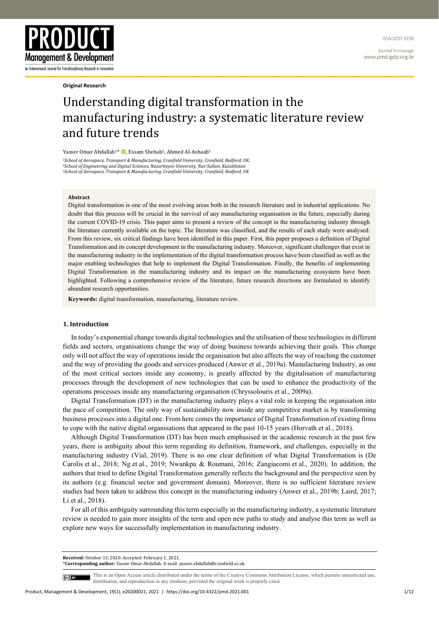ISSN 2237-5228

Journal homepage www.pmd.igdp.org.br



**Original Research**

# Understanding digital transformation in the manufacturing industry: a systematic literature review and future trends

Yasser Omar Abdallah<sup>1\*</sup> **D**. Essam Shehab<sup>2</sup>, Ahmed Al-Ashaab<sup>3</sup>

*1School of Aerospace, Transport & Manufacturing, Cranfield University, Cranfield, Bedford, UK.*  <sup>3</sup>School of Aerospace, Transport & Manufacturing, Cranfield University, Cranfield, Bedford, UK

## **Abstract**

Digital transformation is one of the most evolving areas both in the research literature and in industrial applications. No doubt that this process will be crucial in the survival of any manufacturing organisation in the future, especially during the current COVID-19 crisis. This paper aims to present a review of the concept in the manufacturing industry through the literature currently available on the topic. The literature was classified, and the results of each study were analysed. From this review, six critical findings have been identified in this paper. First, this paper proposes a definition of Digital Transformation and its concept development in the manufacturing industry. Moreover, significant challenges that exist in the manufacturing industry in the implementation of the digital transformation process have been classified as well as the major enabling technologies that help to implement the Digital Transformation. Finally, the benefits of implementing Digital Transformation in the manufacturing industry and its impact on the manufacturing ecosystem have been highlighted. Following a comprehensive review of the literature, future research directions are formulated to identify abundant research opportunities.

**Keywords:** digital transformation, manufacturing, literature review.

#### **1. Introduction**

In today's exponential change towards digital technologies and the utilisation of these technologies in different fields and sectors, organisations change the way of doing business towards achieving their goals. This change only will not affect the way of operations inside the organisation but also affects the way of reaching the customer and the way of providing the goods and services produced (Anwer et al., 2019a). Manufacturing Industry, as one of the most critical sectors inside any economy, is greatly affected by the digitalisation of manufacturing processes through the development of new technologies that can be used to enhance the productivity of the operations processes inside any manufacturing organisation (Chryssolouris et al., 2009a).

Digital Transformation (DT) in the manufacturing industry plays a vital role in keeping the organisation into the pace of competition. The only way of sustainability now inside any competitive market is by transforming business processes into a digital one. From here comes the importance of Digital Transformation of existing firms to cope with the native digital organisations that appeared in the past 10-15 years (Horvath et al., 2018).

Although Digital Transformation (DT) has been much emphasised in the academic research in the past few years, there is ambiguity about this term regarding its definition, framework, and challenges, especially in the manufacturing industry (Vial, 2019). There is no one clear definition of what Digital Transformation is (De Carolis et al., 2018; Ng et al., 2019; Nwankpa & Roumani, 2016; Zangiacomi et al., 2020). In addition, the authors that tried to define Digital Transformation generally reflects the background and the perspective seen by its authors (e.g. financial sector and government domain). Moreover, there is no sufficient literature review studies had been taken to address this concept in the manufacturing industry (Anwer et al., 2019b; Laird, 2017; Li et al., 2018).

For all of this ambiguity surrounding this term especially in the manufacturing industry, a systematic literature review is needed to gain more insights of the term and open new paths to study and analyse this term as well as explore new ways for successfully implementation in manufacturing industry.

**Received:** October 13, 2020. Accepted: February 1, 2021.

\***Corresponding author:** Yasser Omar Abdallah. E-mail: yasser.abdallah@cranfield.ac.uk

(cc) BY

This is an Open Access article distributed under the terms of the Creative Commons Attribution License, which permits unrestricted use, distribution, and reproduction in any medium, provided the original work is properly cited.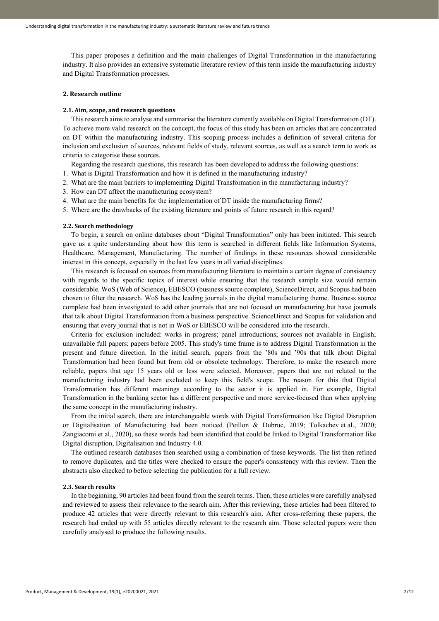This paper proposes a definition and the main challenges of Digital Transformation in the manufacturing industry. It also provides an extensive systematic literature review of this term inside the manufacturing industry and Digital Transformation processes.

## **2. Research outline**

# **2.1. Aim, scope, and research questions**

This research aims to analyse and summarise the literature currently available on Digital Transformation (DT). To achieve more valid research on the concept, the focus of this study has been on articles that are concentrated on DT within the manufacturing industry. This scoping process includes a definition of several criteria for inclusion and exclusion of sources, relevant fields of study, relevant sources, as well as a search term to work as criteria to categorise these sources.

Regarding the research questions, this research has been developed to address the following questions:

- 1. What is Digital Transformation and how it is defined in the manufacturing industry?
- 2. What are the main barriers to implementing Digital Transformation in the manufacturing industry?
- 3. How can DT affect the manufacturing ecosystem?
- 4. What are the main benefits for the implementation of DT inside the manufacturing firms?
- 5. Where are the drawbacks of the existing literature and points of future research in this regard?

#### **2.2. Search methodology**

To begin, a search on online databases about "Digital Transformation" only has been initiated. This search gave us a quite understanding about how this term is searched in different fields like Information Systems, Healthcare, Management, Manufacturing. The number of findings in these resources showed considerable interest in this concept, especially in the last few years in all varied disciplines.

This research is focused on sources from manufacturing literature to maintain a certain degree of consistency with regards to the specific topics of interest while ensuring that the research sample size would remain considerable. WoS (Web of Science), EBESCO (business source complete), ScienceDirect, and Scopus had been chosen to filter the research. WoS has the leading journals in the digital manufacturing theme. Business source complete had been investigated to add other journals that are not focused on manufacturing but have journals that talk about Digital Transformation from a business perspective. ScienceDirect and Scopus for validation and ensuring that every journal that is not in WoS or EBESCO will be considered into the research.

Criteria for exclusion included: works in progress; panel introductions; sources not available in English; unavailable full papers; papers before 2005. This study's time frame is to address Digital Transformation in the present and future direction. In the initial search, papers from the '80s and '90s that talk about Digital Transformation had been found but from old or obsolete technology. Therefore, to make the research more reliable, papers that age 15 years old or less were selected. Moreover, papers that are not related to the manufacturing industry had been excluded to keep this field's scope. The reason for this that Digital Transformation has different meanings according to the sector it is applied in. For example, Digital Transformation in the banking sector has a different perspective and more service-focused than when applying the same concept in the manufacturing industry.

From the initial search, there are interchangeable words with Digital Transformation like Digital Disruption or Digitalisation of Manufacturing had been noticed (Peillon & Dubruc, 2019; Tolkachev et al., 2020; Zangiacomi et al., 2020), so these words had been identified that could be linked to Digital Transformation like Digital disruption, Digitalisation and Industry 4.0.

The outlined research databases then searched using a combination of these keywords. The list then refined to remove duplicates, and the titles were checked to ensure the paper's consistency with this review. Then the abstracts also checked to before selecting the publication for a full review.

#### **2.3. Search results**

In the beginning, 90 articles had been found from the search terms. Then, these articles were carefully analysed and reviewed to assess their relevance to the search aim. After this reviewing, these articles had been filtered to produce 42 articles that were directly relevant to this research's aim. After cross-referring these papers, the research had ended up with 55 articles directly relevant to the research aim. Those selected papers were then carefully analysed to produce the following results.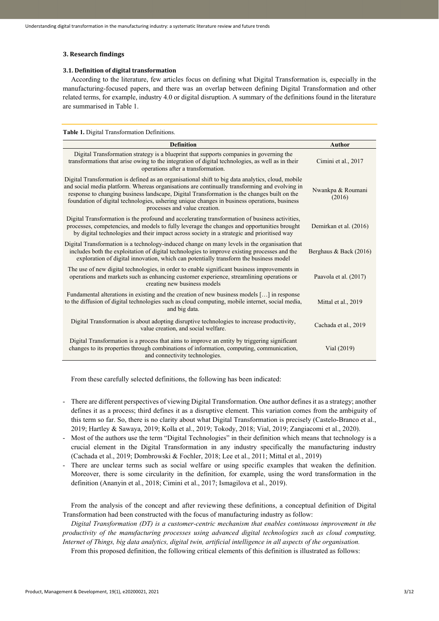# **3. Research findings**

# **3.1. Definition of digital transformation**

According to the literature, few articles focus on defining what Digital Transformation is, especially in the manufacturing-focused papers, and there was an overlap between defining Digital Transformation and other related terms, for example, industry 4.0 or digital disruption. A summary of the definitions found in the literature are summarised in Table 1.

**Table 1.** Digital Transformation Definitions. **Definition Author** Digital Transformation strategy is a blueprint that supports companies in governing the transformations that arise owing to the integration of digital technologies, as well as in their operations after a transformation. Cimini et al., 2017 Digital Transformation is defined as an organisational shift to big data analytics, cloud, mobile and social media platform. Whereas organisations are continually transforming and evolving in response to changing business landscape, Digital Transformation is the changes built on the foundation of digital technologies, ushering unique changes in business operations, business processes and value creation. Nwankpa & Roumani (2016) Digital Transformation is the profound and accelerating transformation of business activities, processes, competencies, and models to fully leverage the changes and opportunities brought by digital technologies and their impact across society in a strategic and prioritised way Demirkan et al. (2016) Digital Transformation is a technology-induced change on many levels in the organisation that includes both the exploitation of digital technologies to improve existing processes and the exploration of digital innovation, which can potentially transform the business model Berghaus & Back (2016) The use of new digital technologies, in order to enable significant business improvements in operations and markets such as enhancing customer experience, streamlining operations or creating new business models Paavola et al. (2017) Fundamental alterations in existing and the creation of new business models […] in response to the diffusion of digital technologies such as cloud computing, mobile internet, social media, and big data. Mittal et al., 2019 Digital Transformation is about adopting disruptive technologies to increase productivity, value creation, and social welfare.<br>
value creation, and social welfare. Digital Transformation is a process that aims to improve an entity by triggering significant changes to its properties through combinations of information, computing, communication, and connectivity technologies. Vial (2019)

From these carefully selected definitions, the following has been indicated:

- There are different perspectives of viewing Digital Transformation. One author defines it as a strategy; another defines it as a process; third defines it as a disruptive element. This variation comes from the ambiguity of this term so far. So, there is no clarity about what Digital Transformation is precisely (Castelo-Branco et al., 2019; Hartley & Sawaya, 2019; Kolla et al., 2019; Tokody, 2018; Vial, 2019; Zangiacomi et al., 2020).
- Most of the authors use the term "Digital Technologies" in their definition which means that technology is a crucial element in the Digital Transformation in any industry specifically the manufacturing industry (Cachada et al., 2019; Dombrowski & Fochler, 2018; Lee et al., 2011; Mittal et al., 2019)
- There are unclear terms such as social welfare or using specific examples that weaken the definition. Moreover, there is some circularity in the definition, for example, using the word transformation in the definition (Ananyin et al., 2018; Cimini et al., 2017; Ismagilova et al., 2019).

From the analysis of the concept and after reviewing these definitions, a conceptual definition of Digital Transformation had been constructed with the focus of manufacturing industry as follow:

*Digital Transformation (DT) is a customer-centric mechanism that enables continuous improvement in the productivity of the manufacturing processes using advanced digital technologies such as cloud computing, Internet of Things, big data analytics, digital twin, artificial intelligence in all aspects of the organisation.*

From this proposed definition, the following critical elements of this definition is illustrated as follows: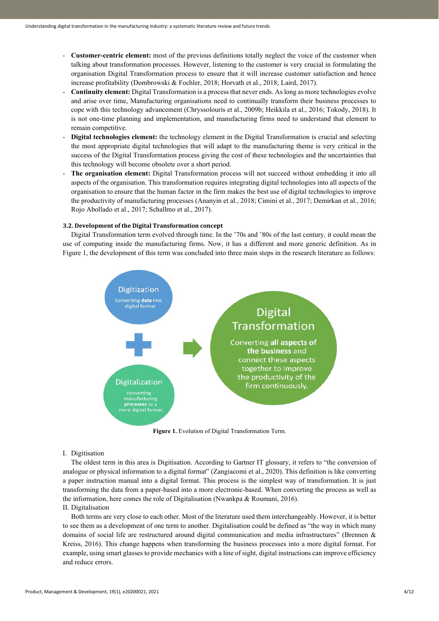- **Customer-centric element:** most of the previous definitions totally neglect the voice of the customer when talking about transformation processes. However, listening to the customer is very crucial in formulating the organisation Digital Transformation process to ensure that it will increase customer satisfaction and hence increase profitability (Dombrowski & Fochler, 2018; Horvath et al., 2018; Laird, 2017).
- **Continuity element:** Digital Transformation is a process that never ends. As long as more technologies evolve and arise over time, Manufacturing organisations need to continually transform their business processes to cope with this technology advancement (Chryssolouris et al., 2009b; Heikkila et al., 2016; Tokody, 2018). It is not one-time planning and implementation, and manufacturing firms need to understand that element to remain competitive.
- **Digital technologies element:** the technology element in the Digital Transformation is crucial and selecting the most appropriate digital technologies that will adapt to the manufacturing theme is very critical in the success of the Digital Transformation process giving the cost of these technologies and the uncertainties that this technology will become obsolete over a short period.
- **The organisation element:** Digital Transformation process will not succeed without embedding it into all aspects of the organisation. This transformation requires integrating digital technologies into all aspects of the organisation to ensure that the human factor in the firm makes the best use of digital technologies to improve the productivity of manufacturing processes (Ananyin et al., 2018; Cimini et al., 2017; Demirkan et al., 2016; Rojo Abollado et al., 2017; Schallmo et al., 2017).

# **3.2. Development of the Digital Transformation concept**

Digital Transformation term evolved through time. In the '70s and '80s of the last century, it could mean the use of computing inside the manufacturing firms. Now, it has a different and more generic definition. As in Figure 1, the development of this term was concluded into three main steps in the research literature as follows:



**Figure 1.** Evolution of Digital Transformation Term.

#### I. Digitisation

The oldest term in this area is Digitisation. According to Gartner IT glossary, it refers to "the conversion of analogue or physical information to a digital format" (Zangiacomi et al., 2020). This definition is like converting a paper instruction manual into a digital format. This process is the simplest way of transformation. It is just transforming the data from a paper-based into a more electronic-based. When converting the process as well as the information, here comes the role of Digitalisation (Nwankpa & Roumani, 2016).

# II. Digitalisation

Both terms are very close to each other. Most of the literature used them interchangeably. However, it is better to see them as a development of one term to another. Digitalisation could be defined as "the way in which many domains of social life are restructured around digital communication and media infrastructures" (Brennen & Kreiss, 2016). This change happens when transforming the business processes into a more digital format. For example, using smart glasses to provide mechanics with a line of sight, digital instructions can improve efficiency and reduce errors.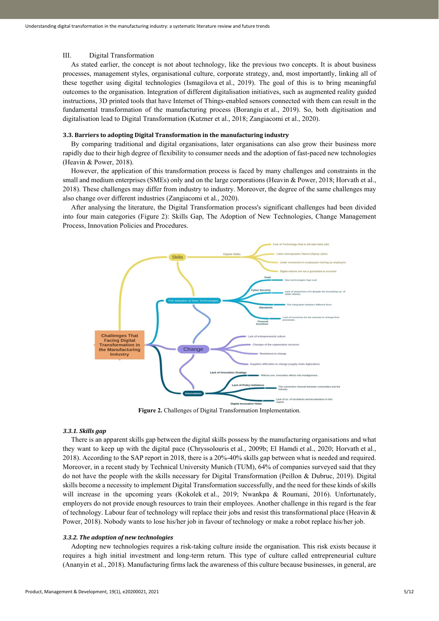## III. Digital Transformation

As stated earlier, the concept is not about technology, like the previous two concepts. It is about business processes, management styles, organisational culture, corporate strategy, and, most importantly, linking all of these together using digital technologies (Ismagilova et al., 2019). The goal of this is to bring meaningful outcomes to the organisation. Integration of different digitalisation initiatives, such as augmented reality guided instructions, 3D printed tools that have Internet of Things-enabled sensors connected with them can result in the fundamental transformation of the manufacturing process (Borangiu et al., 2019). So, both digitisation and digitalisation lead to Digital Transformation (Kutzner et al., 2018; Zangiacomi et al., 2020).

# **3.3. Barriers to adopting Digital Transformation in the manufacturing industry**

By comparing traditional and digital organisations, later organisations can also grow their business more rapidly due to their high degree of flexibility to consumer needs and the adoption of fast-paced new technologies (Heavin & Power, 2018).

However, the application of this transformation process is faced by many challenges and constraints in the small and medium enterprises (SMEs) only and on the large corporations (Heavin & Power, 2018; Horvath et al., 2018). These challenges may differ from industry to industry. Moreover, the degree of the same challenges may also change over different industries (Zangiacomi et al., 2020).

After analysing the literature, the Digital Transformation process's significant challenges had been divided into four main categories (Figure 2): Skills Gap, The Adoption of New Technologies, Change Management Process, Innovation Policies and Procedures.



Figure 2. Challenges of Digital Transformation Implementation.

# *3.3.1. Skills gap*

There is an apparent skills gap between the digital skills possess by the manufacturing organisations and what they want to keep up with the digital pace (Chryssolouris et al., 2009b; El Hamdi et al., 2020; Horvath et al., 2018). According to the SAP report in 2018, there is a 20%-40% skills gap between what is needed and required. Moreover, in a recent study by Technical University Munich (TUM), 64% of companies surveyed said that they do not have the people with the skills necessary for Digital Transformation (Peillon & Dubruc, 2019). Digital skills become a necessity to implement Digital Transformation successfully, and the need for these kinds of skills will increase in the upcoming years (Kokolek et al., 2019; Nwankpa & Roumani, 2016). Unfortunately, employers do not provide enough resources to train their employees. Another challenge in this regard is the fear of technology. Labour fear of technology will replace their jobs and resist this transformational place (Heavin & Power, 2018). Nobody wants to lose his/her job in favour of technology or make a robot replace his/her job.

## *3.3.2. The adoption of new technologies*

Adopting new technologies requires a risk-taking culture inside the organisation. This risk exists because it requires a high initial investment and long-term return. This type of culture called entrepreneurial culture (Ananyin et al., 2018). Manufacturing firms lack the awareness of this culture because businesses, in general, are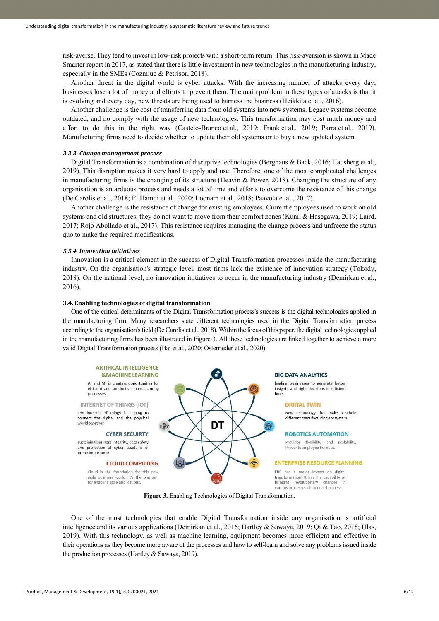risk-averse. They tend to invest in low-risk projects with a short-term return. This risk-aversion is shown in Made Smarter report in 2017, as stated that there is little investment in new technologies in the manufacturing industry, especially in the SMEs (Cozmiuc & Petrisor, 2018).

Another threat in the digital world is cyber attacks. With the increasing number of attacks every day; businesses lose a lot of money and efforts to prevent them. The main problem in these types of attacks is that it is evolving and every day, new threats are being used to harness the business (Heikkila et al., 2016).

Another challenge is the cost of transferring data from old systems into new systems. Legacy systems become outdated, and no comply with the usage of new technologies. This transformation may cost much money and effort to do this in the right way (Castelo-Branco et al., 2019; Frank et al., 2019; Parra et al., 2019). Manufacturing firms need to decide whether to update their old systems or to buy a new updated system.

#### *3.3.3. Change management process*

Digital Transformation is a combination of disruptive technologies (Berghaus & Back, 2016; Hausberg et al., 2019). This disruption makes it very hard to apply and use. Therefore, one of the most complicated challenges in manufacturing firms is the changing of its structure (Heavin & Power, 2018). Changing the structure of any organisation is an arduous process and needs a lot of time and efforts to overcome the resistance of this change (De Carolis et al., 2018; El Hamdi et al., 2020; Loonam et al., 2018; Paavola et al., 2017).

Another challenge is the resistance of change for existing employees. Current employees used to work on old systems and old structures; they do not want to move from their comfort zones (Kunii & Hasegawa, 2019; Laird, 2017; Rojo Abollado et al., 2017). This resistance requires managing the change process and unfreeze the status quo to make the required modifications.

#### *3.3.4. Innovation initiatives*

Innovation is a critical element in the success of Digital Transformation processes inside the manufacturing industry. On the organisation's strategic level, most firms lack the existence of innovation strategy (Tokody, 2018). On the national level, no innovation initiatives to occur in the manufacturing industry (Demirkan et al., 2016).

# **3.4. Enabling technologies of digital transformation**

One of the critical determinants of the Digital Transformation process's success is the digital technologies applied in the manufacturing firm. Many researchers state different technologies used in the Digital Transformation process according to the organisation's field (De Carolis et al., 2018). Within the focus of this paper, the digital technologies applied in the manufacturing firms has been illustrated in Figure 3. All these technologies are linked together to achieve a more valid Digital Transformation process (Bai et al., 2020; Osterrieder et al., 2020)



**Figure 3.** Enabling Technologies of Digital Transformation.

One of the most technologies that enable Digital Transformation inside any organisation is artificial intelligence and its various applications (Demirkan et al., 2016; Hartley & Sawaya, 2019; Qi & Tao, 2018; Ulas, 2019). With this technology, as well as machine learning, equipment becomes more efficient and effective in their operations as they become more aware of the processes and how to self-learn and solve any problems issued inside the production processes (Hartley & Sawaya, 2019).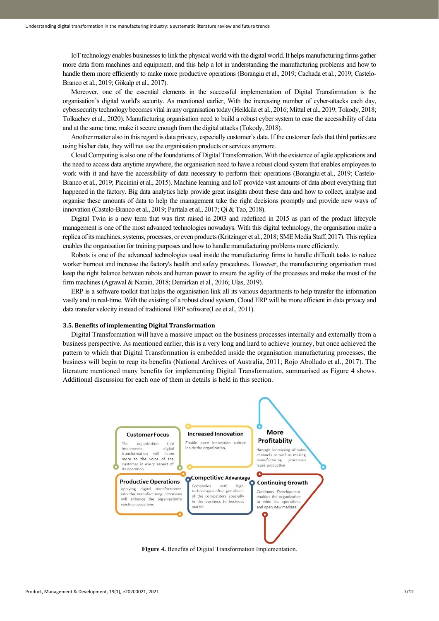IoT technology enables businesses to link the physical world with the digital world. It helps manufacturing firms gather more data from machines and equipment, and this help a lot in understanding the manufacturing problems and how to handle them more efficiently to make more productive operations (Borangiu et al., 2019; Cachada et al., 2019; Castelo-Branco et al., 2019; Gökalp et al., 2017).

Moreover, one of the essential elements in the successful implementation of Digital Transformation is the organisation's digital world's security. As mentioned earlier, With the increasing number of cyber-attacks each day, cybersecurity technology becomes vital in any organisation today (Heikkila et al., 2016; Mittal et al., 2019; Tokody, 2018; Tolkachev et al., 2020). Manufacturing organisation need to build a robust cyber system to ease the accessibility of data and at the same time, make it secure enough from the digital attacks (Tokody, 2018).

Another matter also in this regard is data privacy, especially customer's data. If the customer feels that third parties are using his/her data, they will not use the organisation products or services anymore.

Cloud Computing is also one of the foundations of Digital Transformation. With the existence of agile applications and the need to access data anytime anywhere, the organisation need to have a robust cloud system that enables employees to work with it and have the accessibility of data necessary to perform their operations (Borangiu et al., 2019; Castelo-Branco et al., 2019; Piccinini et al., 2015). Machine learning and IoT provide vast amounts of data about everything that happened in the factory. Big data analytics help provide great insights about these data and how to collect, analyse and organise these amounts of data to help the management take the right decisions promptly and provide new ways of innovation (Castelo-Branco et al., 2019; Paritala et al., 2017; Qi & Tao, 2018).

Digital Twin is a new term that was first raised in 2003 and redefined in 2015 as part of the product lifecycle management is one of the most advanced technologies nowadays. With this digital technology, the organisation make a replica of its machines, systems, processes, or even products (Kritzinger et al., 2018; SME Media Staff, 2017). This replica enables the organisation for training purposes and how to handle manufacturing problems more efficiently.

Robots is one of the advanced technologies used inside the manufacturing firms to handle difficult tasks to reduce worker burnout and increase the factory's health and safety procedures. However, the manufacturing organisation must keep the right balance between robots and human power to ensure the agility of the processes and make the most of the firm machines (Agrawal & Narain, 2018; Demirkan et al., 2016; Ulas, 2019).

ERP is a software toolkit that helps the organisation link all its various departments to help transfer the information vastly and in real-time. With the existing of a robust cloud system, Cloud ERP will be more efficient in data privacy and data transfer velocity instead of traditional ERP software(Lee et al., 2011).

#### **3.5. Benefits of implementing Digital Transformation**

Digital Transformation will have a massive impact on the business processes internally and externally from a business perspective. As mentioned earlier, this is a very long and hard to achieve journey, but once achieved the pattern to which that Digital Transformation is embedded inside the organisation manufacturing processes, the business will begin to reap its benefits (National Archives of Australia, 2011; Rojo Abollado et al., 2017). The literature mentioned many benefits for implementing Digital Transformation, summarised as Figure 4 shows. Additional discussion for each one of them in details is held in this section.



**Figure 4.** Benefits of Digital Transformation Implementation.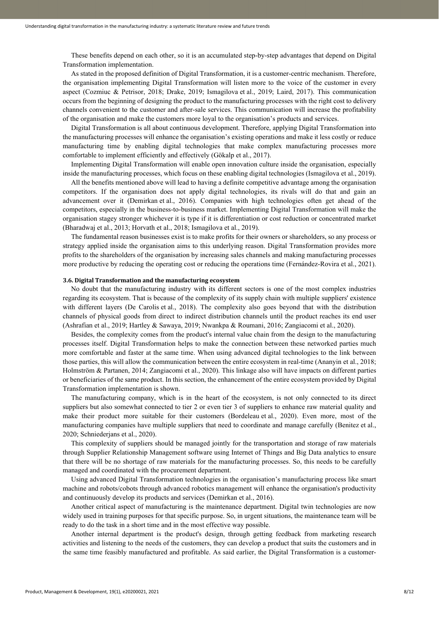These benefits depend on each other, so it is an accumulated step-by-step advantages that depend on Digital Transformation implementation.

As stated in the proposed definition of Digital Transformation, it is a customer-centric mechanism. Therefore, the organisation implementing Digital Transformation will listen more to the voice of the customer in every aspect (Cozmiuc & Petrisor, 2018; Drake, 2019; Ismagilova et al., 2019; Laird, 2017). This communication occurs from the beginning of designing the product to the manufacturing processes with the right cost to delivery channels convenient to the customer and after-sale services. This communication will increase the profitability of the organisation and make the customers more loyal to the organisation's products and services.

Digital Transformation is all about continuous development. Therefore, applying Digital Transformation into the manufacturing processes will enhance the organisation's existing operations and make it less costly or reduce manufacturing time by enabling digital technologies that make complex manufacturing processes more comfortable to implement efficiently and effectively (Gökalp et al., 2017).

Implementing Digital Transformation will enable open innovation culture inside the organisation, especially inside the manufacturing processes, which focus on these enabling digital technologies (Ismagilova et al., 2019).

All the benefits mentioned above will lead to having a definite competitive advantage among the organisation competitors. If the organisation does not apply digital technologies, its rivals will do that and gain an advancement over it (Demirkan et al., 2016). Companies with high technologies often get ahead of the competitors, especially in the business-to-business market. Implementing Digital Transformation will make the organisation stagey stronger whichever it is type if it is differentiation or cost reduction or concentrated market (Bharadwaj et al., 2013; Horvath et al., 2018; Ismagilova et al., 2019).

The fundamental reason businesses exist is to make profits for their owners or shareholders, so any process or strategy applied inside the organisation aims to this underlying reason. Digital Transformation provides more profits to the shareholders of the organisation by increasing sales channels and making manufacturing processes more productive by reducing the operating cost or reducing the operations time (Fernández-Rovira et al., 2021).

#### **3.6. Digital Transformation and the manufacturing ecosystem**

No doubt that the manufacturing industry with its different sectors is one of the most complex industries regarding its ecosystem. That is because of the complexity of its supply chain with multiple suppliers' existence with different layers (De Carolis et al., 2018). The complexity also goes beyond that with the distribution channels of physical goods from direct to indirect distribution channels until the product reaches its end user (Ashrafian et al., 2019; Hartley & Sawaya, 2019; Nwankpa & Roumani, 2016; Zangiacomi et al., 2020).

Besides, the complexity comes from the product's internal value chain from the design to the manufacturing processes itself. Digital Transformation helps to make the connection between these networked parties much more comfortable and faster at the same time. When using advanced digital technologies to the link between those parties, this will allow the communication between the entire ecosystem in real-time (Ananyin et al., 2018; Holmström & Partanen, 2014; Zangiacomi et al., 2020). This linkage also will have impacts on different parties or beneficiaries of the same product. In this section, the enhancement of the entire ecosystem provided by Digital Transformation implementation is shown.

The manufacturing company, which is in the heart of the ecosystem, is not only connected to its direct suppliers but also somewhat connected to tier 2 or even tier 3 of suppliers to enhance raw material quality and make their product more suitable for their customers (Bordeleau et al., 2020). Even more, most of the manufacturing companies have multiple suppliers that need to coordinate and manage carefully (Benitez et al., 2020; Schniederjans et al., 2020).

This complexity of suppliers should be managed jointly for the transportation and storage of raw materials through Supplier Relationship Management software using Internet of Things and Big Data analytics to ensure that there will be no shortage of raw materials for the manufacturing processes. So, this needs to be carefully managed and coordinated with the procurement department.

Using advanced Digital Transformation technologies in the organisation's manufacturing process like smart machine and robots/cobots through advanced robotics management will enhance the organisation's productivity and continuously develop its products and services (Demirkan et al., 2016).

Another critical aspect of manufacturing is the maintenance department. Digital twin technologies are now widely used in training purposes for that specific purpose. So, in urgent situations, the maintenance team will be ready to do the task in a short time and in the most effective way possible.

Another internal department is the product's design, through getting feedback from marketing research activities and listening to the needs of the customers, they can develop a product that suits the customers and in the same time feasibly manufactured and profitable. As said earlier, the Digital Transformation is a customer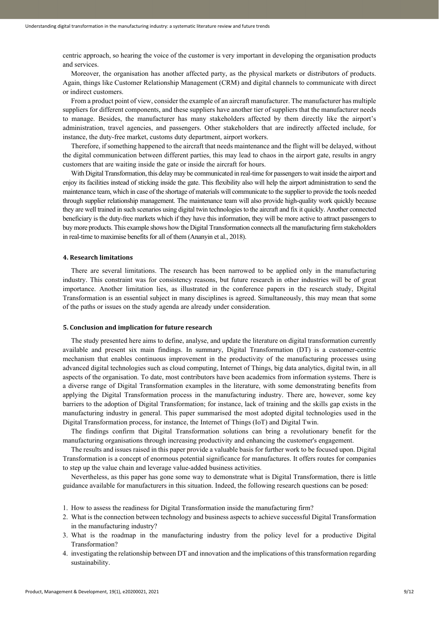centric approach, so hearing the voice of the customer is very important in developing the organisation products and services.

Moreover, the organisation has another affected party, as the physical markets or distributors of products. Again, things like Customer Relationship Management (CRM) and digital channels to communicate with direct or indirect customers.

From a product point of view, consider the example of an aircraft manufacturer. The manufacturer has multiple suppliers for different components, and these suppliers have another tier of suppliers that the manufacturer needs to manage. Besides, the manufacturer has many stakeholders affected by them directly like the airport's administration, travel agencies, and passengers. Other stakeholders that are indirectly affected include, for instance, the duty-free market, customs duty department, airport workers.

Therefore, if something happened to the aircraft that needs maintenance and the flight will be delayed, without the digital communication between different parties, this may lead to chaos in the airport gate, results in angry customers that are waiting inside the gate or inside the aircraft for hours.

With Digital Transformation, this delay may be communicated in real-time for passengers to wait inside the airport and enjoy its facilities instead of sticking inside the gate. This flexibility also will help the airport administration to send the maintenance team, which in case of the shortage of materials will communicate to the supplier to provide the tools needed through supplier relationship management. The maintenance team will also provide high-quality work quickly because they are well trained in such scenarios using digital twin technologies to the aircraft and fix it quickly. Another connected beneficiary is the duty-free markets which if they have this information, they will be more active to attract passengers to buy more products. This example shows how the Digital Transformation connects all the manufacturing firm stakeholders in real-time to maximise benefits for all of them (Ananyin et al., 2018).

## **4. Research limitations**

There are several limitations. The research has been narrowed to be applied only in the manufacturing industry. This constraint was for consistency reasons, but future research in other industries will be of great importance. Another limitation lies, as illustrated in the conference papers in the research study, Digital Transformation is an essential subject in many disciplines is agreed. Simultaneously, this may mean that some of the paths or issues on the study agenda are already under consideration.

# **5. Conclusion and implication for future research**

The study presented here aims to define, analyse, and update the literature on digital transformation currently available and present six main findings. In summary, Digital Transformation (DT) is a customer-centric mechanism that enables continuous improvement in the productivity of the manufacturing processes using advanced digital technologies such as cloud computing, Internet of Things, big data analytics, digital twin, in all aspects of the organisation. To date, most contributors have been academics from information systems. There is a diverse range of Digital Transformation examples in the literature, with some demonstrating benefits from applying the Digital Transformation process in the manufacturing industry. There are, however, some key barriers to the adoption of Digital Transformation; for instance, lack of training and the skills gap exists in the manufacturing industry in general. This paper summarised the most adopted digital technologies used in the Digital Transformation process, for instance, the Internet of Things (IoT) and Digital Twin.

The findings confirm that Digital Transformation solutions can bring a revolutionary benefit for the manufacturing organisations through increasing productivity and enhancing the customer's engagement.

The results and issues raised in this paper provide a valuable basis for further work to be focused upon. Digital Transformation is a concept of enormous potential significance for manufactures. It offers routes for companies to step up the value chain and leverage value-added business activities.

Nevertheless, as this paper has gone some way to demonstrate what is Digital Transformation, there is little guidance available for manufacturers in this situation. Indeed, the following research questions can be posed:

- 1. How to assess the readiness for Digital Transformation inside the manufacturing firm?
- 2. What is the connection between technology and business aspects to achieve successful Digital Transformation in the manufacturing industry?
- 3. What is the roadmap in the manufacturing industry from the policy level for a productive Digital Transformation?
- 4. investigating the relationship between DT and innovation and the implications of this transformation regarding sustainability.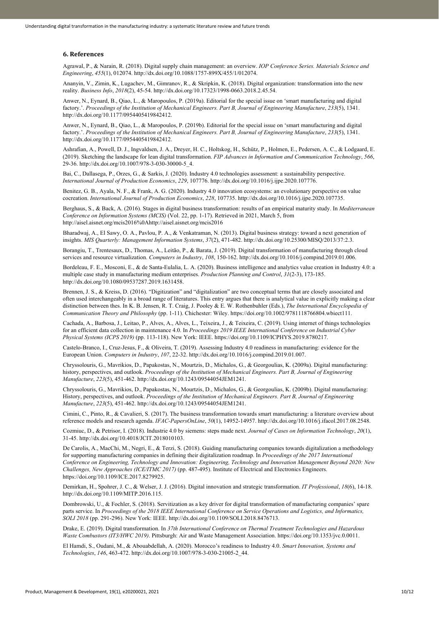## **6. References**

Agrawal, P., & Narain, R. (2018). Digital supply chain management: an overview. *IOP Conference Series. Materials Science and Engineering*, *455*(1), 012074[. http://dx.doi.org/10.1088/1757-899X/455/1/012074.](https://doi.org/10.1088/1757-899X/455/1/012074)

Ananyin, V., Zimin, K., Lugachev, M., Gimranov, R., & Skripkin, K. (2018). Digital organization: transformation into the new reality. *Business Info*, *2018*(2), 45-54[. http://dx.doi.org/10.17323/1998-0663.2018.2.45.54.](https://doi.org/10.17323/1998-0663.2018.2.45.54)

Anwer, N., Eynard, B., Qiao, L., & Maropoulos, P. (2019a). Editorial for the special issue on 'smart manufacturing and digital factory.'. *Proceedings of the Institution of Mechanical Engineers. Part B, Journal of Engineering Manufacture*, *233*(5), 1341. [http://dx.doi.org/10.1177/0954405419842412.](https://doi.org/10.1177/0954405419842412)

Anwer, N., Eynard, B., Qiao, L., & Maropoulos, P. (2019b). Editorial for the special issue on 'smart manufacturing and digital factory.'. *Proceedings of the Institution of Mechanical Engineers. Part B, Journal of Engineering Manufacture*, *233*(5), 1341. [http://dx.doi.org/10.1177/0954405419842412.](https://doi.org/10.1177/0954405419842412)

Ashrafian, A., Powell, D. J., Ingvaldsen, J. A., Dreyer, H. C., Holtskog, H., Schütz, P., Holmen, E., Pedersen, A. C., & Lodgaard, E. (2019). Sketching the landscape for lean digital transformation. *FIP Advances in Information and Communication Technology*, *566*, 29-36[. http://dx.doi.org/10.1007/978-3-030-30000-5\\_4.](https://doi.org/10.1007/978-3-030-30000-5_4)

Bai, C., Dallasega, P., Orzes, G., & Sarkis, J. (2020). Industry 4.0 technologies assessment: a sustainability perspective. *International Journal of Production Economics*, *229*, 107776[. http://dx.doi.org/10.1016/j.ijpe.2020.107776.](https://doi.org/10.1016/j.ijpe.2020.107776)

Benitez, G. B., Ayala, N. F., & Frank, A. G. (2020). Industry 4.0 innovation ecosystems: an evolutionary perspective on value cocreation. *International Journal of Production Economics*, *228*, 107735. [http://dx.doi.org/10.1016/j.ijpe.2020.107735.](https://doi.org/10.1016/j.ijpe.2020.107735)

Berghaus, S., & Back, A. (2016). Stages in digital business transformation: results of an empirical maturity study. In *Mediterranean Conference on Information Systems (MCIS)* (Vol. 22, pp. 1-17). Retrieved in 2021, March 5, from http://aisel.aisnet.org/mcis2016%0Ahttp://aisel.aisnet.org/mcis2016

Bharadwaj, A., El Sawy, O. A., Pavlou, P. A., & Venkatraman, N. (2013). Digital business strategy: toward a next generation of insights. *MIS Quarterly: Management Information Systems*, *37*(2), 471-482. [http://dx.doi.org/10.25300/MISQ/2013/37:2.3.](https://doi.org/10.25300/MISQ/2013/37:2.3)

Borangiu, T., Trentesaux, D., Thomas, A., Leitão, P., & Barata, J. (2019). Digital transformation of manufacturing through cloud services and resource virtualization. *Computers in Industry*, *108*, 150-162. [http://dx.doi.org/10.1016/j.compind.2019.01.006.](https://doi.org/10.1016/j.compind.2019.01.006)

Bordeleau, F. E., Mosconi, E., & de Santa-Eulalia, L. A. (2020). Business intelligence and analytics value creation in Industry 4.0: a multiple case study in manufacturing medium enterprises. *Production Planning and Control*, *31*(2-3), 173-185. [http://dx.doi.org/10.1080/09537287.2019.1631458.](https://doi.org/10.1080/09537287.2019.1631458)

Brennen, J. S., & Kreiss, D. (2016). "Digitization" and "digitalization" are two conceptual terms that are closely associated and often used interchangeably in a broad range of literatures. This entry argues that there is analytical value in explicitly making a clear distinction between thes. In K. B. Jensen, R. T. Craig, J. Pooley & E. W. Rothenbuhler (Eds.), *The International Encyclopedia of Communication Theory and Philosophy* (pp. 1-11). Chichester: Wiley. https://doi.org/10.1002/9781118766804.wbiect111.

Cachada, A., Barbosa, J., Leitao, P., Alves, A., Alves, L., Teixeira, J., & Teixeira, C. (2019). Using internet of things technologies for an efficient data collection in maintenance 4.0. In *Proceedings 2019 IEEE International Conference on Industrial Cyber Physical Systems (ICPS 2019)* (pp. 113-118). New York: IEEE. https://doi.org/10.1109/ICPHYS.2019.8780217.

Castelo-Branco, I., Cruz-Jesus, F., & Oliveira, T. (2019). Assessing Industry 4.0 readiness in manufacturing: evidence for the European Union. *Computers in Industry*, *107*, 22-32[. http://dx.doi.org/10.1016/j.compind.2019.01.007.](https://doi.org/10.1016/j.compind.2019.01.007)

Chryssolouris, G., Mavrikios, D., Papakostas, N., Mourtzis, D., Michalos, G., & Georgoulias, K. (2009a). Digital manufacturing: history, perspectives, and outlook. *Proceedings of the Institution of Mechanical Engineers. Part B, Journal of Engineering Manufacture*, *223*(5), 451-462[. http://dx.doi.org/10.1243/09544054JEM1241.](https://doi.org/10.1243/09544054JEM1241)

Chryssolouris, G., Mavrikios, D., Papakostas, N., Mourtzis, D., Michalos, G., & Georgoulias, K. (2009b). Digital manufacturing: History, perspectives, and outlook. *Proceedings of the Institution of Mechanical Engineers. Part B, Journal of Engineering Manufacture*, *223*(5), 451-462[. http://dx.doi.org/10.1243/09544054JEM1241.](https://doi.org/10.1243/09544054JEM1241)

Cimini, C., Pinto, R., & Cavalieri, S. (2017). The business transformation towards smart manufacturing: a literature overview about reference models and research agenda. *IFAC-PapersOnLine*, *50*(1), 14952-14957. [http://dx.doi.org/10.1016/j.ifacol.2017.08.2548.](https://doi.org/10.1016/j.ifacol.2017.08.2548)

Cozmiuc, D., & Petrisor, I. (2018). Industrie 4.0 by siemens: steps made next. *Journal of Cases on Information Technology*, *20*(1), 31-45[. http://dx.doi.org/10.4018/JCIT.2018010103.](https://doi.org/10.4018/JCIT.2018010103)

De Carolis, A., MacChi, M., Negri, E., & Terzi, S. (2018). Guiding manufacturing companies towards digitalization a methodology for supporting manufacturing companies in defining their digitalization roadmap. In *Proceedings of the 2017 International Conference on Engineering, Technology and Innovation: Engineering, Technology and Innovation Management Beyond 2020: New Challenges, New Approaches (ICE/ITMC 2017)* (pp. 487-495). Institute of Electrical and Electronics Engineers. https://doi.org/10.1109/ICE.2017.8279925.

Demirkan, H., Spohrer, J. C., & Welser, J. J. (2016). Digital innovation and strategic transformation. *IT Professional*, *18*(6), 14-18. [http://dx.doi.org/10.1109/MITP.2016.115.](https://doi.org/10.1109/MITP.2016.115)

Dombrowski, U., & Fochler, S. (2018). Servitization as a key driver for digital transformation of manufacturing companies' spare parts service. In *Proceedings of the 2018 IEEE International Conference on Service Operations and Logistics, and Informatics, SOLI 2018* (pp. 291-296). New York: IEEE. [http://dx.doi.org/10.1109/SOLI.2018.8476713.](https://doi.org/10.1109/SOLI.2018.8476713)

Drake, E. (2019). Digital transformation. In *37th International Conference on Thermal Treatment Technologies and Hazardous Waste Combustors (IT3/HWC 2019)*. Pittsburgh: Air and Waste Management Association. https://doi.org/10.1353/jvc.0.0011.

El Hamdi, S., Oudani, M., & Abouabdellah, A. (2020). Morocco's readiness to Industry 4.0. *Smart Innovation, Systems and Technologies*, *146*, 463-472[. http://dx.doi.org/10.1007/978-3-030-21005-2\\_44.](https://doi.org/10.1007/978-3-030-21005-2_44)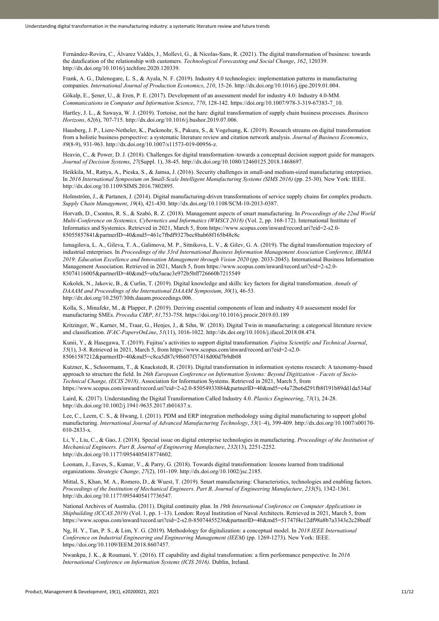Fernández-Rovira, C., Álvarez Valdés, J., Molleví, G., & Nicolas-Sans, R. (2021). The digital transformation of business: towards the datafication of the relationship with customers. *Technological Forecasting and Social Change*, *162*, 120339. [http://dx.doi.org/10.1016/j.techfore.2020.120339.](https://doi.org/10.1016/j.techfore.2020.120339)

Frank, A. G., Dalenogare, L. S., & Ayala, N. F. (2019). Industry 4.0 technologies: implementation patterns in manufacturing companies. *International Journal of Production Economics*, *210*, 15-26[. http://dx.doi.org/10.1016/j.ijpe.2019.01.004.](https://doi.org/10.1016/j.ijpe.2019.01.004)

Gökalp, E., Şener, U., & Eren, P. E. (2017). Development of an assessment model for industry 4.0: Industry 4.0-MM. *Communications in Computer and Information Science*, *770*, 128-142. https://doi.org/10.1007/978-3-319-67383-7\_10.

Hartley, J. L., & Sawaya, W. J. (2019). Tortoise, not the hare: digital transformation of supply chain business processes. *Business Horizons*, *62*(6), 707-715[. http://dx.doi.org/10.1016/j.bushor.2019.07.006.](https://doi.org/10.1016/j.bushor.2019.07.006)

Hausberg, J. P., Liere-Netheler, K., Packmohr, S., Pakura, S., & Vogelsang, K. (2019). Research streams on digital transformation from a holistic business perspective: a systematic literature review and citation network analysis. *Journal of Business Economics*, *89*(8-9), 931-963[. http://dx.doi.org/10.1007/s11573-019-00956-z.](https://doi.org/10.1007/s11573-019-00956-z)

Heavin, C., & Power, D. J. (2018). Challenges for digital transformation–towards a conceptual decision support guide for managers. *Journal of Decision Systems*, *27*(Suppl. 1), 38-45[. http://dx.doi.org/10.1080/12460125.2018.1468697.](https://doi.org/10.1080/12460125.2018.1468697)

Heikkila, M., Rattya, A., Pieska, S., & Jamsa, J. (2016). Security challenges in small-and medium-sized manufacturing enterprises. In *2016 International Symposium on Small-Scale Intelligent Manufacturing Systems (SIMS 2016)* (pp. 25-30). New York: IEEE. [http://dx.doi.org/10.1109/SIMS.2016.7802895.](https://doi.org/10.1109/SIMS.2016.7802895)

Holmström, J., & Partanen, J. (2014). Digital manufacturing-driven transformations of service supply chains for complex products. *Supply Chain Management*, *19*(4), 421-430[. http://dx.doi.org/10.1108/SCM-10-2013-0387.](https://doi.org/10.1108/SCM-10-2013-0387)

Horvath, D., Csontos, R. S., & Szabó, R. Z. (2018). Management aspects of smart manufacturing. In *Proceedings of the 22nd World Multi-Conference on Systemics, Cybernetics and Informatics (WMSCI 2018)* (Vol. 2, pp. 168-172). International Institute of Informatics and Systemics. Retrieved in 2021, March 5, from https://www.scopus.com/inward/record.uri?eid=2-s2.0- 85055857841&partnerID=40&md5=461c7fbdf9327bec8bab68f165b48c8c

Ismagilova, L. A., Gileva, T. A., Galimova, M. P., Sitnikova, L. V., & Gilev, G. A. (2019). The digital transformation trajectory of industrial enterprises. In *Proceedings of the 33rd International Business Information Management Association Conference, IBIMA 2019: Education Excellence and Innovation Management through Vision 2020* (pp. 2033-2045). International Business Information Management Association. Retrieved in 2021, March 5, from https://www.scopus.com/inward/record.uri?eid=2-s2.0- 85074116005&partnerID=40&md5=e0a5aeac3e972b5bff726660b7215549

Kokolek, N., Jakovic, B., & Curlin, T. (2019). Digital knowledge and skills: key factors for digital transformation. *Annals of DAAAM and Proceedings of the International DAAAM Symposium*, *30*(1), 46-53. [http://dx.doi.org/10.2507/30th.daaam.proceedings.006.](https://doi.org/10.2507/30th.daaam.proceedings.006)

Kolla, S., Minufekr, M., & Plapper, P. (2019). Deriving essential components of lean and industry 4.0 assessment model for manufacturing SMEs. *Procedia CIRP*, *81*,753-758. https://doi.org/10.1016/j.procir.2019.03.189

Kritzinger, W., Karner, M., Traar, G., Henjes, J., & Sihn, W. (2018). Digital Twin in manufacturing: a categorical literature review and classification. *IFAC-PapersOnLine*, *51*(11), 1016-1022. [http://dx.doi.org/10.1016/j.ifacol.2018.08.474.](https://doi.org/10.1016/j.ifacol.2018.08.474)

Kunii, Y., & Hasegawa, T. (2019). Fujitsu's activities to support digital transformation. *Fujitsu Scientific and Technical Journal*, *55*(1), 3-8. Retrieved in 2021, March 5, from https://www.scopus.com/inward/record.uri?eid=2-s2.0- 85061587212&partnerID=40&md5=c8ca5d87c9f6607f37418d00d7b9db08

Kutzner, K., Schoormann, T., & Knackstedt, R. (2018). Digital transformation in information systems research: A taxonomy-based approach to structure the field. In *26th European Conference on Information Systems: Beyond Digitization - Facets of Socio-Technical Change, (ECIS 2018)*. Association for Information Systems. Retrieved in 2021, March 5, from https://www.scopus.com/inward/record.uri?eid=2-s2.0-85054933884&partnerID=40&md5=e4a72be6d291fb8f191b89dd1da534af

Laird, K. (2017). Understanding the Digital Transformation Called Industry 4.0. *Plastics Engineering*, *73*(1), 24-28. [http://dx.doi.org/10.1002/j.1941-9635.2017.tb01637.x.](https://doi.org/10.1002/j.1941-9635.2017.tb01637.x)

Lee, C., Leem, C. S., & Hwang, I. (2011). PDM and ERP integration methodology using digital manufacturing to support global manufacturing. *International Journal of Advanced Manufacturing Technology*, *53*(1–4), 399-409. [http://dx.doi.org/10.1007/s00170-](https://doi.org/10.1007/s00170-010-2833-x) [010-2833-x.](https://doi.org/10.1007/s00170-010-2833-x)

Li, Y., Liu, C., & Gao, J. (2018). Special issue on digital enterprise technologies in manufacturing. *Proceedings of the Institution of Mechanical Engineers. Part B, Journal of Engineering Manufacture*, *232*(13), 2251-2252. [http://dx.doi.org/10.1177/0954405418774602.](https://doi.org/10.1177/0954405418774602)

Loonam, J., Eaves, S., Kumar, V., & Parry, G. (2018). Towards digital transformation: lessons learned from traditional organizations. *Strategic Change*, *27*(2), 101-109. [http://dx.doi.org/10.1002/jsc.2185.](https://doi.org/10.1002/jsc.2185)

Mittal, S., Khan, M. A., Romero, D., & Wuest, T. (2019). Smart manufacturing: Characteristics, technologies and enabling factors. *Proceedings of the Institution of Mechanical Engineers. Part B, Journal of Engineering Manufacture*, *233*(5), 1342-1361. [http://dx.doi.org/10.1177/0954405417736547.](https://doi.org/10.1177/0954405417736547)

National Archives of Australia. (2011). Digital continuity plan. In *19th International Conference on Computer Applications in Shipbuilding (ICCAS 2019)* (Vol. 1, pp. 1–13). London: Royal Institution of Naval Architects. Retrieved in 2021, March 5, from https://www.scopus.com/inward/record.uri?eid=2-s2.0-85074455236&partnerID=40&md5=51747f4e12df98a8b7a3343e2c28bedf

Ng, H. Y., Tan, P. S., & Lim, Y. G. (2019). Methodology for digitalization: a conceptual model. In *2018 IEEE International Conference on Industrial Engineering and Engineering Management (IEEM)* (pp. 1269-1273). New York: IEEE. https://doi.org/10.1109/IEEM.2018.8607457.

Nwankpa, J. K., & Roumani, Y. (2016). IT capability and digital transformation: a firm performance perspective. In *2016 International Conference on Information Systems (ICIS 2016)*. Dublin, Ireland.